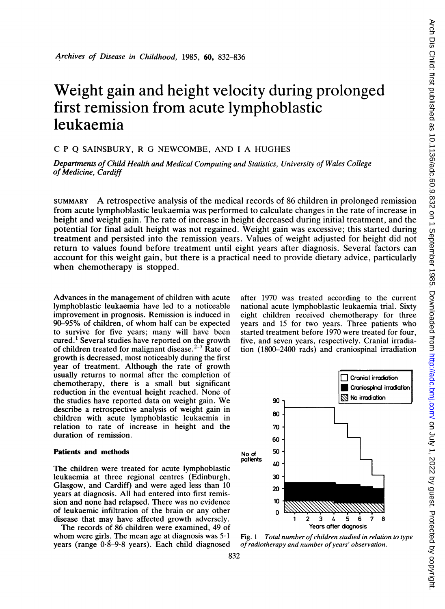# Weight gain and height velocity during prolonged first remission from acute lymphoblastic leukaemia

# C <sup>P</sup> Q SAINSBURY, R G NEWCOMBE, AND <sup>I</sup> A HUGHES

Departments of Child Health and Medical Computing and Statistics, University of Wales College of Medicine, Cardiff

SUMMARY A retrospective analysis of the medical records of <sup>86</sup> children in prolonged remission from acute lymphoblastic leukaemia was performed to calculate changes in the rate of increase in height and weight gain. The rate of increase in height decreased during initial treatment, and the potential for final adult height was not regained. Weight gain was excessive; this started during treatment and persisted into the remission years. Values of weight adjusted for height did not return to values found before treatment until eight years after diagnosis. Several factors can account for this weight gain, but there is a practical need to provide dietary advice, particularly when chemotherapy is stopped.

Advances in the management of children with acute lymphoblastic leukaemia have led to a noticeable improvement in prognosis. Remission is induced in 90-95% of children, of whom half can be expected to survive for five years; many will have been cured.<sup>1</sup> Several studies have reported on the growth of children treated for malignant disease.<sup>2-7</sup> Rate of growth is decreased, most noticeably during the first year of treatment. Although the rate of growth usually returns to normal after the completion of chemotherapy, there is a small but significant reduction in the eventual height reached. None of the studies have reported data on weight gain. We describe a retrospective analysis of weight gain in children with acute lymphoblastic leukaemia in relation to rate of increase in height and the duration of remission.

#### Patients and methods

The children were treated for acute lymphoblastic leukaemia at three regional centres (Edinburgh, Glasgow, and Cardiff) and were aged less than 10 years at diagnosis. All had entered into first remission and none had relapsed. There was no evidence of leukaemic infiltration of the brain or any other disease that may have affected growth adversely.

The records of 86 children were examined, 49 of whom were girls. The mean age at diagnosis was  $5.1$ years (range  $0.8-9.8$  years). Each child diagnosed after 1970 was treated according to the current national acute lymphoblastic leukaemia trial. Sixty eight children received chemotherapy for three years and 15 for two years. Three patients who started treatment before 1970 were treated for four, five, and seven years, respectively. Cranial irradiation (1800-2400 rads) and craniospinal irradiation



Fig. 1 Total number of children studied in relation to type of radiotherapy and number of years' observation.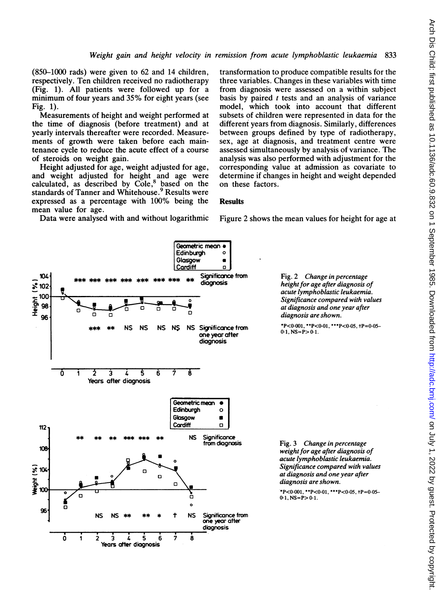$(850-1000 \text{ rads})$  were given to 62 and 14 children, respectively. Ten children received no radiotherapy (Fig. 1). All patients were followed up for a minimum of four years and 35% for eight years (see Fig.  $1$ ).

Measurements of height and weight performed at the time of diagnosis (before treatment) and at yearly intervals thereafter were recorded. Measurements of growth were taken before each maintenance cycle to reduce the acute effect of a course of steroids on weight gain.

Height adjusted for age, weight adjusted for age, and weight adjusted for height and age were calculated, as described by Cole,<sup>8</sup> based on the standards of Tanner and Whitehouse.<sup>9</sup> Results were expressed as a percentage with 100% being the mean value for age.

Data were analysed with and without logarithmic

transformation to produce compatible results for the three variables. Changes in these variables with time from diagnosis were assessed on a within subject basis by paired  $t$  tests and an analysis of variance model, which took into account that different subsets of children were represented in data for the different vears from diagnosis. Similarly, differences between groups defined by type of radiotherapy, sex, age at diagnosis, and treatment centre were assessed simultaneously by analysis of variance. The analysis was also performed with adjustment for the corresponding value at admission as covariate to determine if changes in height and weight depended on these factors.

#### **Results**

Figure 2 shows the mean values for height for age at



Fig. 3 Change in percentage weight for age after diagnosis of acute lymphoblastic leukaemia. Significance compared with values at diagnosis and one year after

\*P<0.001, \*\*P<0.01, \*\*\*P<0.05, +P=0.05-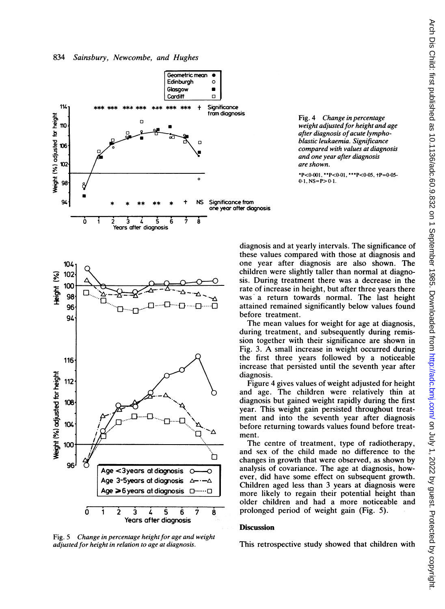

Fig. 5 Change in percentage height for age and weight adjusted for height in relation to age at diagnosis.

weight adjusted for height and age Fig. 4 Change in percentage<br>weight adjusted for height and a<br>after diagnosis of acute lympho-<br>blastic leukaemia. Significance<br>compared with values at diagno compared with values at diagnosis and one year after diagnosis

\*P<0.001, \*\*P<0.01, \*\*\*P<0.05, +P=0.05-<br>0.1, NS=P>0.1.

diagnosis and at yearly intervals. The significance of these values compared with those at diagnosis and before treatment.

The mean values for weight for age at diagnosis, during treatment, and subsequently during remission together with their significance are shown in Fig. 3. A small increase in weight occurred during increase that persisted until the seventh year after diagnosis.

and age. The children were relatively thin at diagnosis but gained weight rapidly during the first

and sex of the child made no difference to the  $\Box$ changes in growth that were observed, as shown by Age  $\lt$ 3 years at diagnosis  $\circ$  o analysis of covariance. The age at diagnosis, how-Age 3-5years at diagnosis  $\Delta - - \Delta$  ever, did have some effect on subsequent growth. more likely to regain their potential height than older children and had a more noticeable and

#### **Discussion**

This retrospective study showed that children with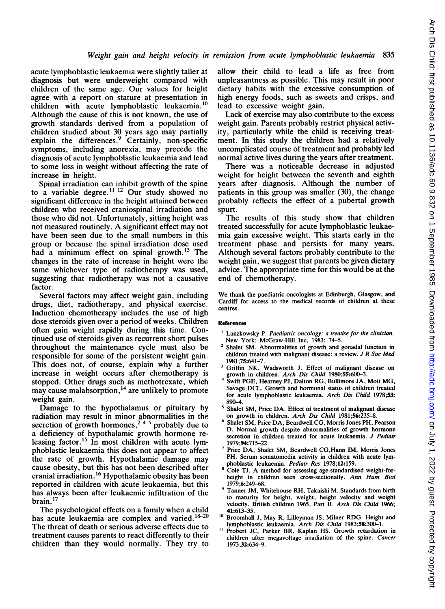acute lymphoblastic leukaemia were slightly taller at diagnosis but were underweight compared with children of the same age. Our values for height agree with a report on stature at presentation in children with acute lymphoblastic leukaemia.<sup>10</sup> Although the cause of this is not known, the use of growth standards derived from a population of children studied about 30 years ago may partially explain the differences.<sup>9</sup> Certainly, non-specific symptoms, including anorexia, may precede the diagnosis of acute lymphoblastic leukaemia and lead to some loss in weight without affecting the rate of increase in height.

Spinal irradiation can inhibit growth of the spine to a variable degree."1 <sup>12</sup> Our study showed no significant difference in the height attained between children who received craniospinal irradiation and those who did not. Unfortunately, sitting height was not measured routinely. A significant effect may not have been seen due to the small numbers in this group or because the spinal irradiation dose used had a minimum effect on spinal growth.<sup>13</sup> The changes in the rate of increase in height were the same whichever type of radiotherapy was used, suggesting that radiotherapy was not a causative factor.

Several factors may affect weight gain, including drugs, diet, radiotherapy, and physical exercise. Induction chemotherapy includes the use of high dose steroids given over a period of weeks. Children often gain weight rapidly during this time. Continued use of steroids given as recurrent short pulses throughout the maintenance cycle must also be responsible for some of the persistent weight gain. This does not, of course, explain why a further increase in weight occurs after chemotherapy is stopped. Other drugs such as methotrexate, which may cause malabsorption, $14$  are unlikely to promote weight gain.

Damage to the hypothalamus or pituitary by radiation may result in minor abnormalities in the secretion of growth hormones,  $2^{4}$ <sup>5</sup> probably due to a deficiency of hypothalamic growth hormone releasing factor.<sup>15</sup> In most children with acute lymphoblastic leukaemia this does not appear to affect the rate of growth. Hypothalamic damage may cause obesity, but this has not been described after cranial irradiation. <sup>16</sup> Hypothalamic obesity has been reported in children with acute leukaemia, but this has always been after leukaemic infiltration of the brain.<sup>17</sup>

The psychological effects on a family when a child has acute leukaemia are complex and varied. $18-20$ The threat of death or serious adverse effects due to treatment causes parents to react differently to their children than they would normally. They try to allow their child to lead a life as free from unpleasantness as possible. This may result in poor dietary habits with the excessive consumption of high energy foods, such as sweets and crisps, and lead to excessive weight gain.

Lack of exercise may also contribute to the excess weight gain. Parents probably restrict physical activity, particularly while the child is receiving treatment. In this study the children had a relatively uncomplicated course of treatment and probably led normal active lives during the years after treatment.

There was a noticeable decrease in adjusted weight for height between the seventh and eighth years after diagnosis. Although the number of patients in this group was smaller (30), the change probably reflects the effect of a pubertal growth spurt.

The results of this study show that children treated successfully for acute lymphoblastic leukaemia gain excessive weight. This starts early in the treatment phase and persists for many years. Although several factors probably contribute to the weight gain, we suggest that parents be given dietary advice. The appropriate time for this would be at the end of chemotherapy.

We thank the paediatric oncologists at Edinburgh, Glasgow, and Cardiff for access to the medical records of children at these centres.

#### **References**

- Lanzkowsky P. Paediatric oncology: a treatise for the clinician. New York: McGraw-Hill Inc, 1983: 74-5.
- <sup>2</sup> Shalet SM. Abnormalities of growth and gonadal function in children treated with malignant disease: <sup>a</sup> review. J R Soc Med 1981 ;75:641-7.
- <sup>3</sup> Griffin NK, Wadsworth J. Effect of malignant disease on growth in children. Arch Dis Child 1980;55:600-3.
- 4 Swift PGE, Hearney PJ, Dalton RG, Bullimore JA, Mott MG, Savage DCL. Growth and hormonal status of children treated for acute lymphoblastic leukaemia. Arch Dis Child 1978;53: 890-4.
- <sup>5</sup> Shalet SM, Price DA. Effect of treatment of malignant disease on growth in children. Arch Dis Child 1981;56:235-8.
- <sup>6</sup> Shalet SM, Price DA, Beardwell CG, Morris Jones PH, Pearson D. Normal growth despite abnormalities of growth hormone secretion in children treated for acute leukaemia. J Pediatr 1979;94:715-22.
- <sup>7</sup> Price DA, Shalet SM, Beardwell CG,Hann IM, Morris Jones PH. Serum somatomedin activity in children with acute lymphoblastic leukaemia. Pediatr Res 1978;12:159.
- Cole TJ. A method for assessing age-standardised weight-forheight in children seen cross-sectionally. Ann Hum Biol 1979;6:249-68.
- <sup>9</sup> Tanner JM, Whitehouse RH, Takaishi M. Standards from birth to maturity for height, weight, height velocity and weight velocity. British children 1965, Part II. Arch Dis Child 1966; 41:613-35.
- <sup>10</sup> Broomhall J, May R, Lilleyman JS, Milner RDG. Height and lymphoblastic leukaemia. Arch Dis Child 1983;58:300-1.
- Probert JC, Parker BR, Kaplan HS. Growth retardation in  $\mathbf{11}$ children after megavoltage irradiation of the spine. Cancer 1973;32:634-9.